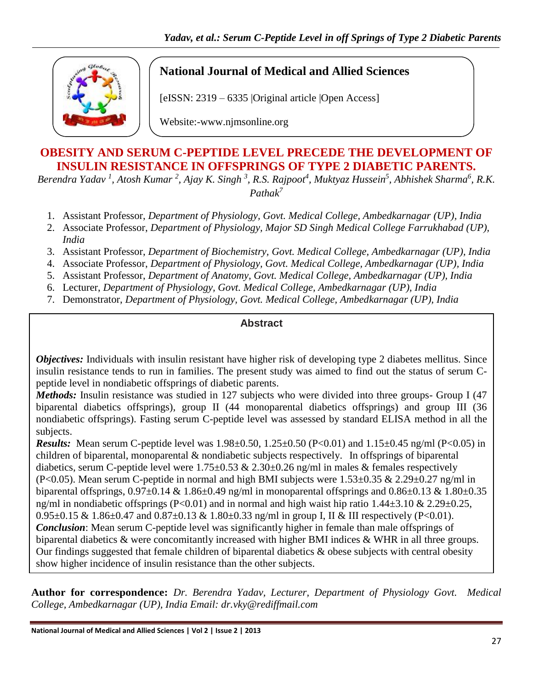

## **National Journal of Medical and Allied Sciences**

[eISSN: 2319 – 6335 |Original article |Open Access]

Website:-www.njmsonline.org

## **OBESITY AND SERUM C-PEPTIDE LEVEL PRECEDE THE DEVELOPMENT OF INSULIN RESISTANCE IN OFFSPRINGS OF TYPE 2 DIABETIC PARENTS.**

Berendra Yadav <sup>1</sup>, Atosh Kumar <sup>2</sup>, Ajay K. Singh <sup>3</sup>, R.S. Rajpoot<sup>4</sup>, Muktyaz Hussein<sup>5</sup>, Abhishek Sharma<sup>6</sup>, R.K. *Pathak<sup>7</sup>*

- 1. Assistant Professor, *Department of Physiology, Govt. Medical College, Ambedkarnagar (UP), India*
- 2. Associate Professor, *Department of Physiology, Major SD Singh Medical College Farrukhabad (UP), India*
- 3. Assistant Professor, *Department of Biochemistry, Govt. Medical College, Ambedkarnagar (UP), India*
- 4. Associate Professor, *Department of Physiology, Govt. Medical College, Ambedkarnagar (UP), India*
- 5. Assistant Professor, *Department of Anatomy, Govt. Medical College, Ambedkarnagar (UP), India*
- 6. Lecturer, *Department of Physiology, Govt. Medical College, Ambedkarnagar (UP), India*
- 7. Demonstrator, *Department of Physiology, Govt. Medical College, Ambedkarnagar (UP), India*

## **Abstract**

*Objectives:* Individuals with insulin resistant have higher risk of developing type 2 diabetes mellitus. Since insulin resistance tends to run in families. The present study was aimed to find out the status of serum Cpeptide level in nondiabetic offsprings of diabetic parents.

*Methods:* Insulin resistance was studied in 127 subjects who were divided into three groups- Group I (47) biparental diabetics offsprings), group II (44 monoparental diabetics offsprings) and group III (36 nondiabetic offsprings). Fasting serum C-peptide level was assessed by standard ELISA method in all the subjects.

*Results:* Mean serum C-peptide level was 1.98±0.50, 1.25±0.50 (P<0.01) and 1.15±0.45 ng/ml (P<0.05) in children of biparental, monoparental & nondiabetic subjects respectively. In offsprings of biparental diabetics, serum C-peptide level were  $1.75 \pm 0.53 \& 2.30 \pm 0.26$  ng/ml in males & females respectively (P<0.05). Mean serum C-peptide in normal and high BMI subjects were 1.53±0.35 & 2.29±0.27 ng/ml in biparental offsprings,  $0.97\pm0.14$  &  $1.86\pm0.49$  ng/ml in monoparental offsprings and  $0.86\pm0.13$  &  $1.80\pm0.35$ ng/ml in nondiabetic offsprings (P<0.01) and in normal and high waist hip ratio 1.44±3.10 & 2.29±0.25, 0.95±0.15 & 1.86±0.47 and 0.87±0.13 & 1.80±0.33 ng/ml in group I, II & III respectively (P<0.01). *Conclusion*: Mean serum C-peptide level was significantly higher in female than male offsprings of biparental diabetics & were concomitantly increased with higher BMI indices & WHR in all three groups. Our findings suggested that female children of biparental diabetics & obese subjects with central obesity show higher incidence of insulin resistance than the other subjects.

**Author for correspondence:** *Dr. Berendra Yadav, Lecturer, Department of Physiology Govt. Medical College, Ambedkarnagar (UP), India Email: [dr.vky@rediffmail.com](mailto:dr.vky@rediffmail.com)*

**Keywords**: Diabetic parents, Insulin resistance, Serum C-peptide.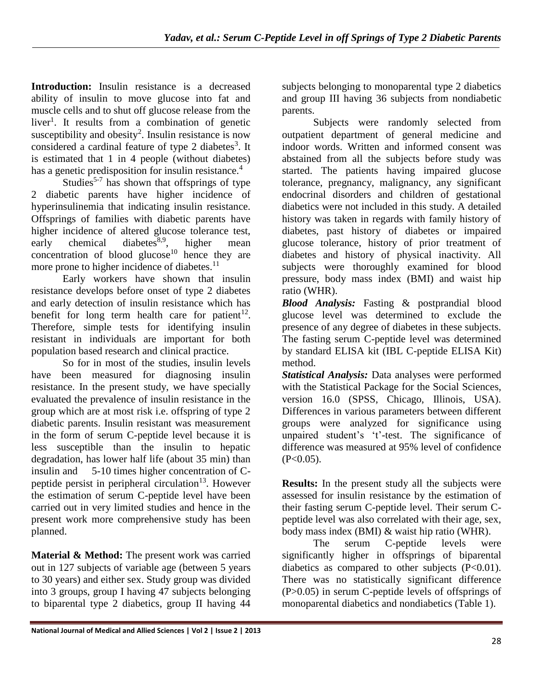**Introduction:** Insulin resistance is a decreased ability of insulin to move glucose into fat and muscle cells and to shut off glucose release from the liver<sup>1</sup>. It results from a combination of genetic susceptibility and obesity<sup>2</sup>. Insulin resistance is now considered a cardinal feature of type 2 diabetes<sup>3</sup>. It is estimated that 1 in 4 people (without diabetes) has a genetic predisposition for insulin resistance.<sup>4</sup>

Studies<sup>5-7</sup> has shown that offsprings of type 2 diabetic parents have higher incidence of hyperinsulinemia that indicating insulin resistance. Offsprings of families with diabetic parents have higher incidence of altered glucose tolerance test, early chemical diabetes<sup>8,9</sup>, higher mean concentration of blood glucose<sup>10</sup> hence they are more prone to higher incidence of diabetes.<sup>11</sup>

Early workers have shown that insulin resistance develops before onset of type 2 diabetes and early detection of insulin resistance which has benefit for long term health care for patient<sup>12</sup>. Therefore, simple tests for identifying insulin resistant in individuals are important for both population based research and clinical practice.

So for in most of the studies, insulin levels have been measured for diagnosing insulin resistance. In the present study, we have specially evaluated the prevalence of insulin resistance in the group which are at most risk i.e. offspring of type 2 diabetic parents. Insulin resistant was measurement in the form of serum C-peptide level because it is less susceptible than the insulin to hepatic degradation, has lower half life (about 35 min) than insulin and 5-10 times higher concentration of Cpeptide persist in peripheral circulation<sup>13</sup>. However the estimation of serum C-peptide level have been carried out in very limited studies and hence in the present work more comprehensive study has been planned.

**Material & Method:** The present work was carried out in 127 subjects of variable age (between 5 years to 30 years) and either sex. Study group was divided into 3 groups, group I having 47 subjects belonging to biparental type 2 diabetics, group II having 44

subjects belonging to monoparental type 2 diabetics and group III having 36 subjects from nondiabetic parents.

Subjects were randomly selected from outpatient department of general medicine and indoor words. Written and informed consent was abstained from all the subjects before study was started. The patients having impaired glucose tolerance, pregnancy, malignancy, any significant endocrinal disorders and children of gestational diabetics were not included in this study. A detailed history was taken in regards with family history of diabetes, past history of diabetes or impaired glucose tolerance, history of prior treatment of diabetes and history of physical inactivity. All subjects were thoroughly examined for blood pressure, body mass index (BMI) and waist hip ratio (WHR).

*Blood Analysis:* Fasting & postprandial blood glucose level was determined to exclude the presence of any degree of diabetes in these subjects. The fasting serum C-peptide level was determined by standard ELISA kit (IBL C-peptide ELISA Kit) method.

*Statistical Analysis:* Data analyses were performed with the Statistical Package for the Social Sciences, version 16.0 (SPSS, Chicago, Illinois, USA). Differences in various parameters between different groups were analyzed for significance using unpaired student's 't'-test. The significance of difference was measured at 95% level of confidence  $(P<0.05)$ .

**Results:** In the present study all the subjects were assessed for insulin resistance by the estimation of their fasting serum C-peptide level. Their serum Cpeptide level was also correlated with their age, sex, body mass index (BMI) & waist hip ratio (WHR).

The serum C-peptide levels were significantly higher in offsprings of biparental diabetics as compared to other subjects  $(P<0.01)$ . There was no statistically significant difference (P>0.05) in serum C-peptide levels of offsprings of monoparental diabetics and nondiabetics (Table 1).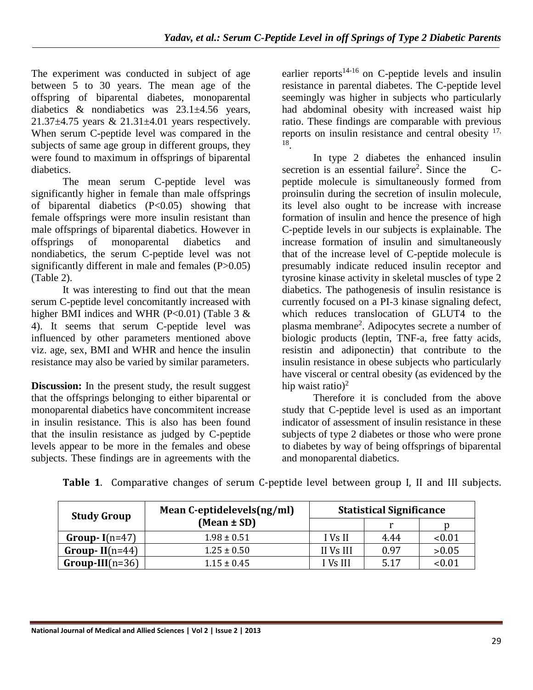The experiment was conducted in subject of age between 5 to 30 years. The mean age of the offspring of biparental diabetes, monoparental diabetics & nondiabetics was 23.1±4.56 years, 21.37±4.75 years & 21.31±4.01 years respectively. When serum C-peptide level was compared in the subjects of same age group in different groups, they were found to maximum in offsprings of biparental diabetics.

The mean serum C-peptide level was significantly higher in female than male offsprings of biparental diabetics (P<0.05) showing that female offsprings were more insulin resistant than male offsprings of biparental diabetics. However in offsprings of monoparental diabetics and nondiabetics, the serum C-peptide level was not significantly different in male and females (P>0.05) (Table 2).

It was interesting to find out that the mean serum C-peptide level concomitantly increased with higher BMI indices and WHR (P<0.01) (Table 3  $\&$ 4). It seems that serum C-peptide level was influenced by other parameters mentioned above viz. age, sex, BMI and WHR and hence the insulin resistance may also be varied by similar parameters.

**Discussion:** In the present study, the result suggest that the offsprings belonging to either biparental or monoparental diabetics have concommitent increase in insulin resistance. This is also has been found that the insulin resistance as judged by C-peptide levels appear to be more in the females and obese subjects. These findings are in agreements with the

earlier reports $14-16$  on C-peptide levels and insulin resistance in parental diabetes. The C-peptide level seemingly was higher in subjects who particularly had abdominal obesity with increased waist hip ratio. These findings are comparable with previous reports on insulin resistance and central obesity  $17$ , 18 .

In type 2 diabetes the enhanced insulin secretion is an essential failure<sup>2</sup>. Since the Cpeptide molecule is simultaneously formed from proinsulin during the secretion of insulin molecule, its level also ought to be increase with increase formation of insulin and hence the presence of high C-peptide levels in our subjects is explainable. The increase formation of insulin and simultaneously that of the increase level of C-peptide molecule is presumably indicate reduced insulin receptor and tyrosine kinase activity in skeletal muscles of type 2 diabetics. The pathogenesis of insulin resistance is currently focused on a PI-3 kinase signaling defect, which reduces translocation of GLUT4 to the plasma membrane<sup>2</sup>. Adipocytes secrete a number of biologic products (leptin, TNF-a, free fatty acids, resistin and adiponectin) that contribute to the insulin resistance in obese subjects who particularly have visceral or central obesity (as evidenced by the hip waist ratio)<sup>2</sup>

Therefore it is concluded from the above study that C-peptide level is used as an important indicator of assessment of insulin resistance in these subjects of type 2 diabetes or those who were prone to diabetes by way of being offsprings of biparental and monoparental diabetics.

| <b>Study Group</b> | Mean C-eptidelevels(ng/ml) | <b>Statistical Significance</b> |      |        |  |
|--------------------|----------------------------|---------------------------------|------|--------|--|
|                    | $(Mean \pm SD)$            |                                 |      |        |  |
| Group- $I(n=47)$   | $1.98 \pm 0.51$            | I Vs II                         | 4.44 | < 0.01 |  |
| Group-II $(n=44)$  | $1.25 \pm 0.50$            | II Vs III                       | 0.97 | >0.05  |  |
| $Group-III(n=36)$  | $1.15 \pm 0.45$            | I Vs III                        | 5.17 | < 0.01 |  |

**Table 1**. Comparative changes of serum C-peptide level between group I, II and III subjects.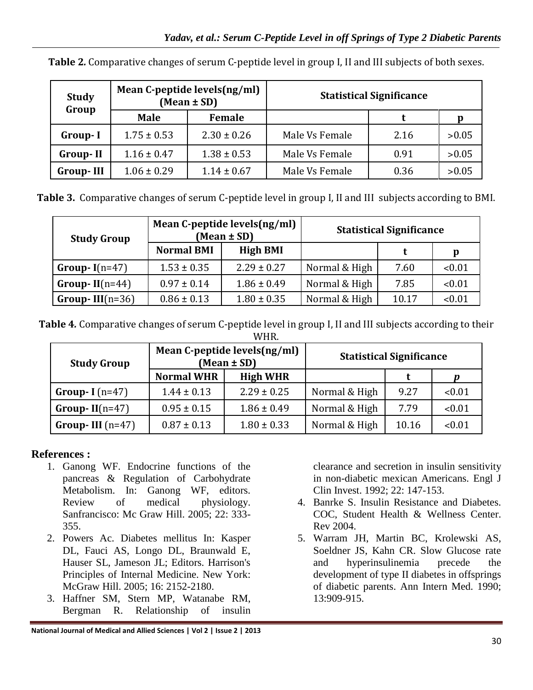| Study<br>Group   |                 | Mean C-peptide levels(ng/ml)<br>$(Mean \pm SD)$ | <b>Statistical Significance</b> |      |       |  |
|------------------|-----------------|-------------------------------------------------|---------------------------------|------|-------|--|
|                  | <b>Male</b>     | Female                                          |                                 |      |       |  |
| Group-I          | $1.75 \pm 0.53$ | $2.30 \pm 0.26$                                 | Male Vs Female                  | 2.16 | >0.05 |  |
| <b>Group-II</b>  | $1.16 \pm 0.47$ | $1.38 \pm 0.53$                                 | Male Vs Female                  | 0.91 | >0.05 |  |
| <b>Group-III</b> | $1.06 \pm 0.29$ | $1.14 \pm 0.67$                                 | Male Vs Female                  | 0.36 | >0.05 |  |

**Table 2***.* Comparative changes of serum C-peptide level in group I, II and III subjects of both sexes.

|  |  |  | Table 3. Comparative changes of serum C-peptide level in group I, II and III subjects according to BMI. |  |  |  |  |
|--|--|--|---------------------------------------------------------------------------------------------------------|--|--|--|--|
|--|--|--|---------------------------------------------------------------------------------------------------------|--|--|--|--|

| <b>Study Group</b> |                   | Mean C-peptide levels(ng/ml)<br>$(Mean \pm SD)$ | <b>Statistical Significance</b> |       |        |
|--------------------|-------------------|-------------------------------------------------|---------------------------------|-------|--------|
|                    | <b>Normal BMI</b> | <b>High BMI</b>                                 |                                 |       | p      |
| Group- $I(n=47)$   | $1.53 \pm 0.35$   | $2.29 \pm 0.27$                                 | Normal & High                   | 7.60  | < 0.01 |
| Group-II $(n=44)$  | $0.97 \pm 0.14$   | $1.86 \pm 0.49$                                 | Normal & High                   | 7.85  | < 0.01 |
| Group-III $(n=36)$ | $0.86 \pm 0.13$   | $1.80 \pm 0.35$                                 | Normal & High                   | 10.17 | < 0.01 |

**Table 4***.* Comparative changes of serum C-peptide level in group I, II and III subjects according to their WHR.

| <b>Study Group</b> |                   | Mean C-peptide levels(ng/ml)<br>$(Mean \pm SD)$ | <b>Statistical Significance</b> |       |        |
|--------------------|-------------------|-------------------------------------------------|---------------------------------|-------|--------|
|                    | <b>Normal WHR</b> | <b>High WHR</b>                                 |                                 |       |        |
| Group-I $(n=47)$   | $1.44 \pm 0.13$   | $2.29 \pm 0.25$                                 | Normal & High                   | 9.27  | < 0.01 |
| Group-II $(n=47)$  | $0.95 \pm 0.15$   | $1.86 \pm 0.49$                                 | Normal & High                   | 7.79  | < 0.01 |
| Group-III $(n=47)$ | $0.87 \pm 0.13$   | $1.80 \pm 0.33$                                 | Normal & High                   | 10.16 | < 0.01 |

## **References :**

- 1. Ganong WF. Endocrine functions of the pancreas & Regulation of Carbohydrate Metabolism. In: Ganong WF, editors. Review of medical physiology. Sanfrancisco: Mc Graw Hill. 2005; 22: 333- 355.
- 2. Powers Ac. Diabetes mellitus In: Kasper DL, Fauci AS, Longo DL, Braunwald E, Hauser SL, Jameson JL; Editors. Harrison's Principles of Internal Medicine. New York: McGraw Hill. 2005; 16: 2152-2180.
- 3. Haffner SM, Stern MP, Watanabe RM, Bergman R. Relationship of insulin

clearance and secretion in insulin sensitivity in non-diabetic mexican Americans. Engl J Clin Invest. 1992; 22: 147-153.

- 4. Banrke S. Insulin Resistance and Diabetes. COC, Student Health & Wellness Center. Rev 2004.
- 5. Warram JH, Martin BC, Krolewski AS, Soeldner JS, Kahn CR. Slow Glucose rate and hyperinsulinemia precede the development of type II diabetes in offsprings of diabetic parents. Ann Intern Med. 1990; 13:909-915.